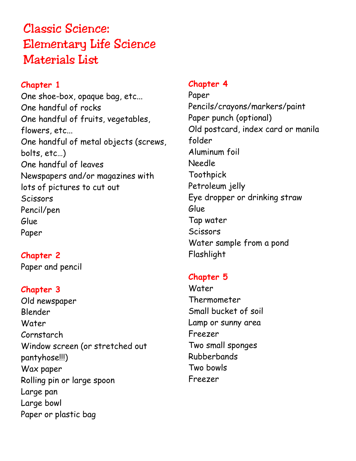# Classic Science: Elementary Life Science Materials List

## **Chapter 1**

One shoe-box, opaque bag, etc... One handful of rocks One handful of fruits, vegetables, flowers, etc... One handful of metal objects (screws, bolts, etc…) One handful of leaves Newspapers and/or magazines with lots of pictures to cut out **Scissors** Pencil/pen Glue Paper

## **Chapter 2**

Paper and pencil

#### **Chapter 3**

Old newspaper Blender Water Cornstarch Window screen (or stretched out pantyhose!!!) Wax paper Rolling pin or large spoon Large pan Large bowl Paper or plastic bag

#### **Chapter 4**

Paper Pencils/crayons/markers/paint Paper punch (optional) Old postcard, index card or manila folder Aluminum foil Needle Toothpick Petroleum jelly Eye dropper or drinking straw Glue Tap water **Scissors** Water sample from a pond Flashlight

### **Chapter 5**

Water Thermometer Small bucket of soil Lamp or sunny area Freezer Two small sponges Rubberbands Two bowls Freezer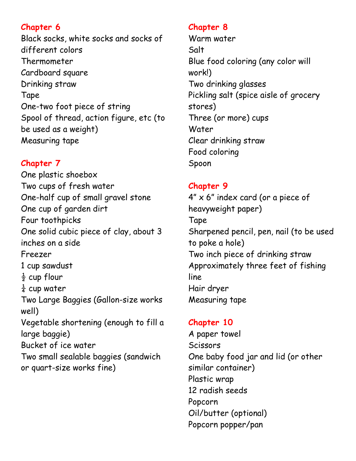Black socks, white socks and socks of different colors Thermometer Cardboard square Drinking straw Tape One-two foot piece of string Spool of thread, action figure, etc (to be used as a weight) Measuring tape

## **Chapter 7**

One plastic shoebox Two cups of fresh water One-half cup of small gravel stone One cup of garden dirt Four toothpicks One solid cubic piece of clay, about 3 inches on a side Freezer 1 cup sawdust  $rac{1}{2}$  cup flour  $\frac{1}{4}$  cup water Two Large Baggies (Gallon-size works well) Vegetable shortening (enough to fill a large baggie) Bucket of ice water Two small sealable baggies (sandwich or quart-size works fine)

## **Chapter 8**

Warm water Salt Blue food coloring (any color will work!) Two drinking glasses Pickling salt (spice aisle of grocery stores) Three (or more) cups Water Clear drinking straw Food coloring Spoon

# **Chapter 9**

 $4'' \times 6''$  index card (or a piece of heavyweight paper) Tape Sharpened pencil, pen, nail (to be used to poke a hole) Two inch piece of drinking straw Approximately three feet of fishing line Hair dryer Measuring tape

# **Chapter 10**

A paper towel **Scissors** One baby food jar and lid (or other similar container) Plastic wrap 12 radish seeds Popcorn Oil/butter (optional) Popcorn popper/pan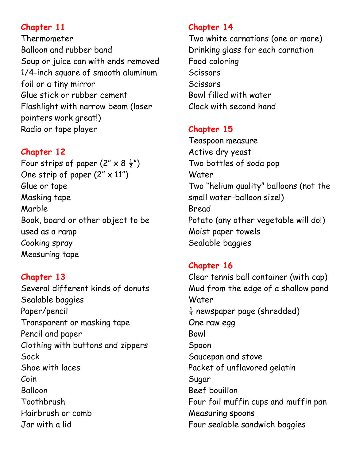Thermometer Balloon and rubber band Soup or juice can with ends removed 1/4-inch square of smooth aluminum foil or a tiny mirror Glue stick or rubber cement Flashlight with narrow beam (laser pointers work great!) Radio or tape player

## **Chapter 12**

Four strips of paper  $(2'' \times 8 \frac{1}{2}$ ") One strip of paper  $(2'' \times 11'')$ Glue or tape Masking tape Marble Book, board or other object to be used as a ramp Cooking spray Measuring tape

**Chapter 13** Several different kinds of donuts Sealable baggies Paper/pencil Transparent or masking tape Pencil and paper Clothing with buttons and zippers Sock Shoe with laces Coin Balloon Toothbrush Hairbrush or comb Jar with a lid

## **Chapter 14**

Two white carnations (one or more) Drinking glass for each carnation Food coloring **Scissors Scissors** Bowl filled with water Clock with second hand

# **Chapter 15**

Teaspoon measure Active dry yeast Two bottles of soda pop Water Two "helium quality" balloons (not the small water-balloon size!) Bread Potato (any other vegetable will do!) Moist paper towels Sealable baggies

# **Chapter 16**

Clear tennis ball container (with cap) Mud from the edge of a shallow pond **Water**  $\frac{1}{4}$  newspaper page (shredded) One raw egg Bowl Spoon Saucepan and stove Packet of unflavored gelatin Sugar Beef bouillon Four foil muffin cups and muffin pan Measuring spoons Four sealable sandwich baggies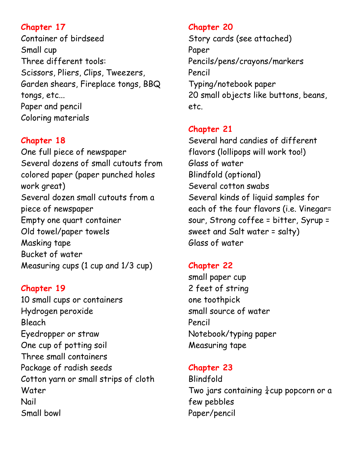Container of birdseed Small cup Three different tools: Scissors, Pliers, Clips, Tweezers, Garden shears, Fireplace tongs, BBQ tongs, etc... Paper and pencil Coloring materials

## **Chapter 18**

One full piece of newspaper Several dozens of small cutouts from colored paper (paper punched holes work great) Several dozen small cutouts from a piece of newspaper Empty one quart container Old towel/paper towels Masking tape Bucket of water Measuring cups (1 cup and 1/3 cup)

#### **Chapter 19**

10 small cups or containers Hydrogen peroxide Bleach Eyedropper or straw One cup of potting soil Three small containers Package of radish seeds Cotton yarn or small strips of cloth Water Nail Small bowl

### **Chapter 20**

Story cards (see attached) Paper Pencils/pens/crayons/markers Pencil Typing/notebook paper 20 small objects like buttons, beans, etc.

## **Chapter 21**

Several hard candies of different flavors (lollipops will work too!) Glass of water Blindfold (optional) Several cotton swabs Several kinds of liquid samples for each of the four flavors (i.e. Vinegar= sour, Strong coffee = bitter, Syrup = sweet and Salt water = salty) Glass of water

### **Chapter 22**

small paper cup 2 feet of string one toothpick small source of water Pencil Notebook/typing paper Measuring tape

## **Chapter 23**

Blindfold Two jars containing  $\frac{1}{4}$ cup popcorn or a few pebbles Paper/pencil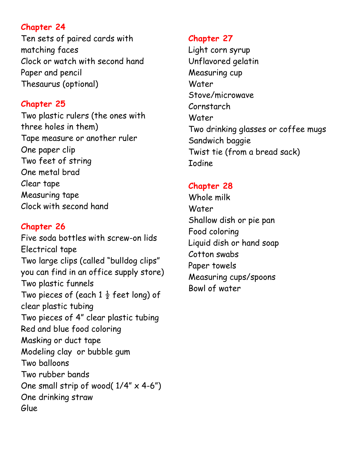Ten sets of paired cards with matching faces Clock or watch with second hand Paper and pencil Thesaurus (optional)

## **Chapter 25**

Two plastic rulers (the ones with three holes in them) Tape measure or another ruler One paper clip Two feet of string One metal brad Clear tape Measuring tape Clock with second hand

## **Chapter 26**

Five soda bottles with screw-on lids Electrical tape Two large clips (called "bulldog clips" you can find in an office supply store) Two plastic funnels Two pieces of (each  $1\frac{1}{2}$  feet long) of clear plastic tubing Two pieces of 4" clear plastic tubing Red and blue food coloring Masking or duct tape Modeling clay or bubble gum Two balloons Two rubber bands One small strip of wood( $1/4$ "  $\times$  4-6") One drinking straw Glue

### **Chapter 27**

Light corn syrup Unflavored gelatin Measuring cup Water Stove/microwave Cornstarch Water Two drinking glasses or coffee mugs Sandwich baggie Twist tie (from a bread sack) Iodine

## **Chapter 28**

Whole milk Water Shallow dish or pie pan Food coloring Liquid dish or hand soap Cotton swabs Paper towels Measuring cups/spoons Bowl of water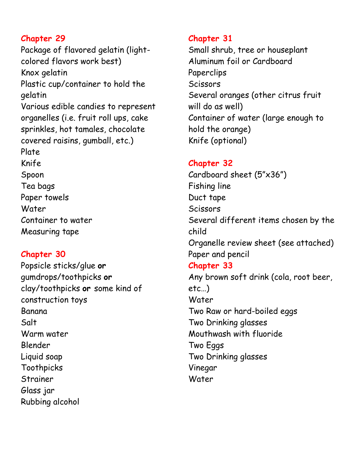Package of flavored gelatin (lightcolored flavors work best) Knox gelatin Plastic cup/container to hold the gelatin Various edible candies to represent organelles (i.e. fruit roll ups, cake sprinkles, hot tamales, chocolate covered raisins, gumball, etc.) Plate Knife Spoon Tea bags Paper towels Water Container to water Measuring tape

#### **Chapter 30**

Popsicle sticks/glue **or**  gumdrops/toothpicks **or**  clay/toothpicks **or** some kind of construction toys Banana Salt Warm water Blender Liquid soap Toothpicks Strainer Glass jar Rubbing alcohol

#### **Chapter 31**

Small shrub, tree or houseplant Aluminum foil or Cardboard Paperclips **Scissors** Several oranges (other citrus fruit will do as well) Container of water (large enough to hold the orange) Knife (optional)

#### **Chapter 32**

Cardboard sheet (5"x36") Fishing line Duct tape **Scissors** Several different items chosen by the child Organelle review sheet (see attached) Paper and pencil **Chapter 33** Any brown soft drink (cola, root beer, etc…) Water Two Raw or hard-boiled eggs Two Drinking glasses Mouthwash with fluoride Two Eggs Two Drinking glasses Vinegar Water